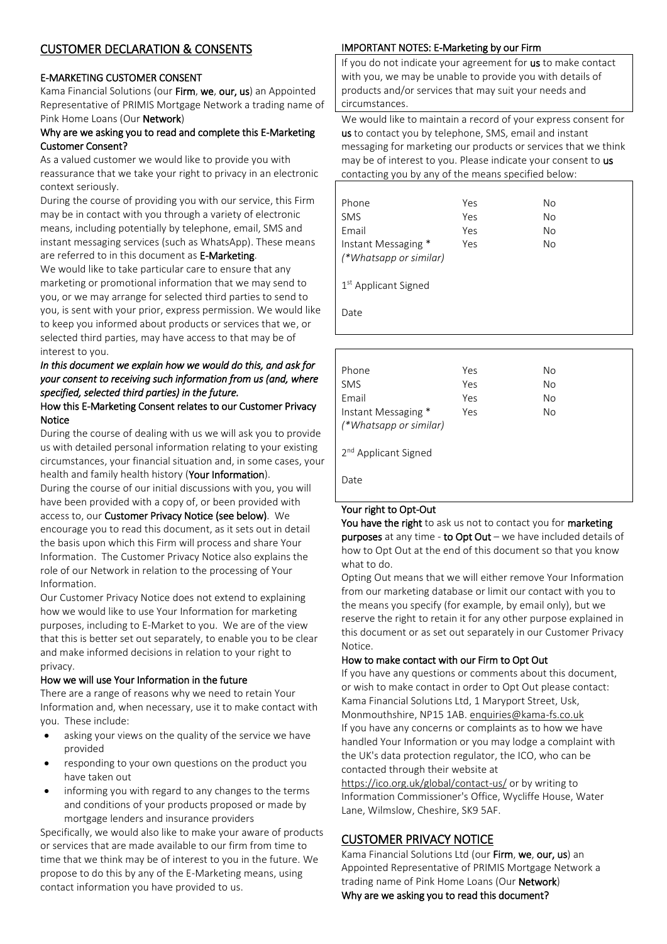# CUSTOMER DECLARATION & CONSENTS

## E-MARKETING CUSTOMER CONSENT

Kama Financial Solutions (our Firm, we, our, us) an Appointed Representative of PRIMIS Mortgage Network a trading name of Pink Home Loans (Our Network)

### Why are we asking you to read and complete this E-Marketing Customer Consent?

As a valued customer we would like to provide you with reassurance that we take your right to privacy in an electronic context seriously.

During the course of providing you with our service, this Firm may be in contact with you through a variety of electronic means, including potentially by telephone, email, SMS and instant messaging services (such as WhatsApp). These means are referred to in this document as E-Marketing.

We would like to take particular care to ensure that any marketing or promotional information that we may send to you, or we may arrange for selected third parties to send to you, is sent with your prior, express permission. We would like to keep you informed about products or services that we, or selected third parties, may have access to that may be of interest to you.

# *In this document we explain how we would do this, and ask for your consent to receiving such information from us (and, where specified, selected third parties) in the future.*

### How this E-Marketing Consent relates to our Customer Privacy Notice

During the course of dealing with us we will ask you to provide us with detailed personal informationrelating to your existing circumstances, your financial situation and, in some cases, your health and family health history (Your Information). During the course of our initial discussions with you, you will have been provided with a copy of, or been provided with access to, our Customer Privacy Notice (see below). We encourage you to read this document, as it sets out in detail the basis upon which this Firm will process and share Your Information. The Customer Privacy Notice also explains the role of our Network in relation to the processing of Your

Our Customer Privacy Notice does not extend to explaining how we would like to use Your Information for marketing purposes, including to E-Market to you. We are of the view that this is better set out separately, to enable you to be clear and make informed decisions in relation to your right to privacy.

## How we will use Your Information in the future

Information.

There are a range of reasons why we need to retain Your Information and, when necessary, use it to make contact with you. These include:

- asking your views on the quality of the service we have provided
- responding to your own questions on the product you have taken out
- informing you with regard to any changes to the terms and conditions of your products proposed or made by mortgage lenders and insurance providers

Specifically, we would also like to make your aware of products or services that are made available to our firm from time to time that we think may be of interest to you in the future. We propose to do this by any of the E-Marketing means, using contact information you have provided to us.

# IMPORTANT NOTES: E-Marketing by our Firm

If you do not indicate your agreement for us to make contact with you, we may be unable to provide you with details of products and/or services that may suit your needs and circumstances.

We would like to maintain a record of your express consent for us to contact you by telephone, SMS, email and instant messaging for marketing our products or services that we think may be of interest to you. Please indicate your consent to us contacting you by any of the means specified below:

| Phone                  | Yes | No |
|------------------------|-----|----|
| <b>SMS</b>             | Yes | No |
| Email                  | Yes | No |
| Instant Messaging *    | Yes | No |
| (*Whatsapp or similar) |     |    |
|                        |     |    |

1 st Applicant Signed

Date

| Phone                            | Yes | No |
|----------------------------------|-----|----|
| <b>SMS</b>                       | Yes | No |
| Email                            | Yes | No |
| Instant Messaging *              | Yes | No |
| (*Whatsapp or similar)           |     |    |
| 2 <sup>nd</sup> Applicant Signed |     |    |
| Date                             |     |    |

# Your right to Opt-Out

You have the right to ask us not to contact you for marketing purposes at any time - to Opt Out – we have included details of how to Opt Out at the end of this document so that you know what to do.

Opting Out means that we will either remove Your Information from our marketing database or limit our contact with you to the means you specify (for example, by email only), but we reserve the right to retain it for any other purpose explained in this document or as set out separately in our Customer Privacy Notice.

# How to make contact with our Firm to Opt Out

If you have any questions or comments about this document, or wish to make contact in order to Opt Out please contact: Kama Financial Solutions Ltd, 1 Maryport Street, Usk, Monmouthshire, NP15 1AB[. enquiries@kama-fs.co.uk](mailto:enquiries@kama-fs.co.uk) If you have any concerns or complaints as to how we have handled Your Information or you may lodge a complaint with the UK's data protection regulator, the ICO, who can be contacted through their website at

<https://ico.org.uk/global/contact-us/> or by writing to Information Commissioner's Office, Wycliffe House, Water Lane, Wilmslow, Cheshire, SK9 5AF.

# CUSTOMER PRIVACY NOTICE

Kama Financial Solutions Ltd (our Firm, we, our, us) an Appointed Representative of PRIMIS Mortgage Network a trading name of Pink Home Loans (Our Network) Why are we asking you to read this document?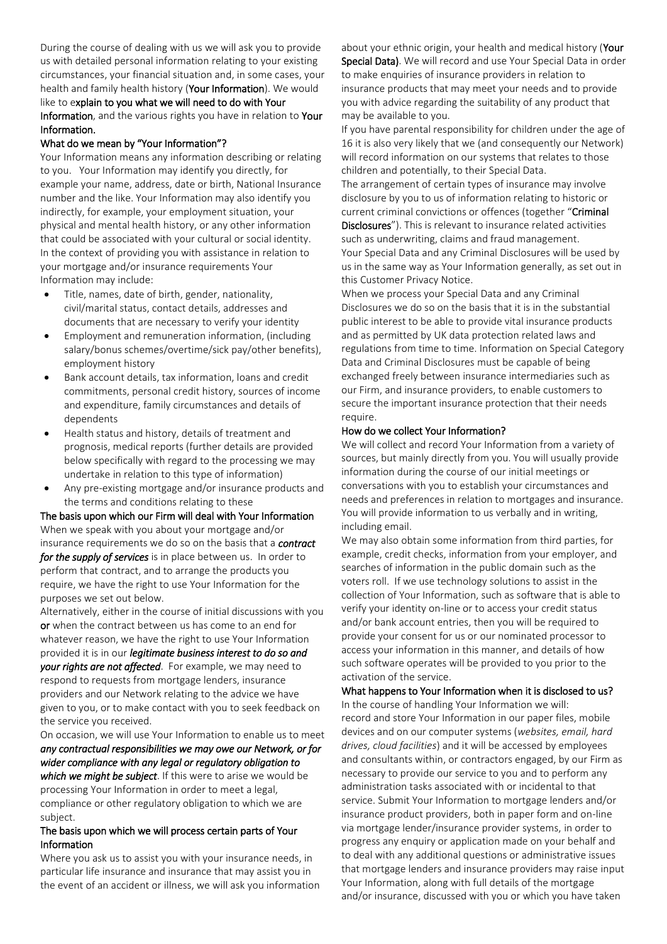During the course of dealing with us we will ask you to provide us with detailed personal informationrelating to your existing circumstances, your financial situation and, in some cases, your health and family health history (Your Information). We would like to explain to you what we will need to do with Your Information, and the various rights you have in relation to Your Information.

#### What do we mean by "Your Information"?

Your Information means any information describing or relating to you. Your Information may identify you directly, for example your name, address, date or birth, National Insurance number and the like. Your Information may also identify you indirectly, for example, your employment situation, your physical and mental health history, or any other information that could be associated with your cultural or social identity. In the context of providing you with assistance in relation to your mortgage and/or insurance requirements Your Information may include:

- Title, names, date of birth, gender, nationality, civil/marital status, contact details, addresses and documents that are necessary to verify your identity
- Employment and remuneration information, (including salary/bonus schemes/overtime/sick pay/other benefits), employment history
- Bank account details, tax information, loans and credit commitments, personal credit history, sources of income and expenditure, family circumstances and details of dependents
- Health status and history, details of treatment and prognosis, medical reports (further details are provided below specifically with regard to the processing we may undertake in relation to this type of information)
- Any pre-existing mortgage and/or insurance products and the terms and conditions relating to these

The basis upon which our Firm will deal with Your Information When we speak with you about your mortgage and/or insurance requirements we do so on the basis that a *contract for the supply of services* is in place between us. In order to perform that contract, and to arrange the products you require, we have the right to use Your Information for the purposes we set out below.

Alternatively, either in the course of initial discussions with you or when the contract between us has come to an end for whatever reason, we have the right to use Your Information provided it is in our *legitimate business interest to do so and your rights are not affected*. For example, we may need to respond to requests from mortgage lenders, insurance providers and our Network relating to the advice we have given to you, or to make contact with you to seek feedback on the service you received.

On occasion, we will use Your Information to enable us to meet *any contractual responsibilities we may owe our Network, or for wider compliance with any legal or regulatory obligation to which we might be subject*. If this were to arise we would be processing Your Information in order to meet a legal, compliance or other regulatory obligation to which we are

### The basis upon which we will process certain parts of Your Information

subject.

Where you ask us to assist you with your insurance needs, in particular life insurance and insurance that may assist you in the event of an accident or illness, we will ask you information about your ethnic origin, your health and medical history (Your Special Data). We will record and use Your Special Data in order to make enquiries of insurance providers in relation to insurance products that may meet your needs and to provide you with advice regarding the suitability of any product that may be available to you.

If you have parental responsibility for children under the age of 16 it is also very likely that we (and consequently our Network) will record information on our systems that relates to those children and potentially, to their Special Data.

The arrangement of certain types of insurance may involve disclosure by you to us of information relating to historic or current criminal convictions or offences (together "Criminal

Disclosures"). This is relevant to insurance related activities such as underwriting, claims and fraud management. Your Special Data and any Criminal Disclosures will be used by us in the same way as Your Information generally, as set out in this Customer Privacy Notice.

When we process your Special Data and any Criminal Disclosures we do so on the basis that it is in the substantial public interest to be able to provide vital insurance products and as permitted by UK data protection related laws and regulations from time to time. Information on Special Category Data and Criminal Disclosures must be capable of being exchanged freely between insurance intermediaries such as our Firm, and insurance providers, to enable customers to secure the important insurance protection that their needs require.

#### How do we collect Your Information?

We will collect and record Your Information from a variety of sources, but mainly directly from you. You will usually provide information during the course of our initial meetings or conversations with you to establish your circumstances and needs and preferences in relation to mortgages and insurance. You will provide information to us verbally and in writing, including email.

We may also obtain some information from third parties, for example, credit checks, information from your employer, and searches of information in the public domain such as the voters roll. If we use technology solutions to assist in the collection of Your Information, such as software that is able to verify your identity on-line or to access your credit status and/or bank account entries, then you will be required to provide your consent for us or our nominated processor to access your information in this manner, and details of how such software operates will be provided to you prior to the activation of the service.

# What happens to Your Information when it is disclosed to us?

In the course of handling Your Information we will: record and store Your Information in our paper files, mobile devices and on our computer systems (*websites, email, hard drives, cloud facilities*) and it will be accessed by employees and consultants within, or contractors engaged, by our Firm as necessary to provide our service to you and to perform any administration tasks associated with or incidental to that service. Submit Your Information to mortgage lenders and/or insurance product providers, both in paper form and on-line via mortgage lender/insurance provider systems, in order to progress any enquiry or application made on your behalf and to deal with any additional questions or administrative issues that mortgage lenders and insurance providers may raise input Your Information, along with full details of the mortgage and/or insurance, discussed with you or which you have taken